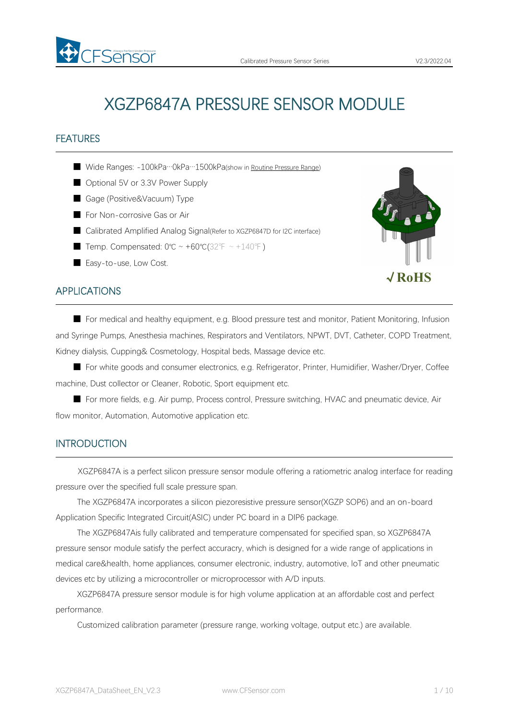# XGZP6847A PRESSURE SENSOR MODULE

## FEATURES

- Wide Ranges: -100kPa…0kPa…1500kPa(show in Routine [Pressure](#page-4-0) Range)
- Optional 5V or 3.3V Power Supply
- Gage (Positive&Vacuum) Type
- For Non-corrosive Gas or Air
- Calibrated Amplified Analog Signal(Refer to XGZP6847D for I2C interface)
- Temp. Compensated: 0℃ ~ +60℃(32°F ~ +140°F)
- Easy-to-use, Low Cost.

## APPLICATIONS

■ For medical and healthy equipment, e.g. Blood pressure test and monitor, Patient Monitoring, Infusion and Syringe Pumps, Anesthesia machines, Respirators and Ventilators, NPWT, DVT, Catheter, COPD Treatment, Kidney dialysis, Cupping& Cosmetology, Hospital beds, Massage device etc.

■ For white goods and consumer electronics, e.g. Refrigerator, Printer, Humidifier, Washer/Dryer, Coffee machine, Dust collector or Cleaner, Robotic, Sport equipment etc.

■ For more fields, e.g. Air pump, Process control, Pressure switching, HVAC and pneumatic device, Air flow monitor, Automation, Automotive application etc.

## **INTRODUCTION**

XGZP6847A is a perfect silicon pressure sensor module offering a ratiometric analog interface for reading pressure over the specified full scale pressure span.

The XGZP6847A incorporates a silicon piezoresistive pressure sensor(XGZP SOP6) and an on-board Application Specific Integrated Circuit(ASIC) under PC board in a DIP6 package.

The XGZP6847Ais fully calibrated and temperature compensated for specified span, so XGZP6847A pressure sensor module satisfy the perfect accuracry, which is designed for a wide range of applications in medical care&health, home appliances, consumer electronic, industry, automotive, loT and other pneumatic devices etc by utilizing a microcontroller or microprocessor with A/D inputs.

XGZP6847A pressure sensor module is for high volume application at an affordable cost and perfect performance.

Customized calibration parameter (pressure range, working voltage, output etc.) are available.



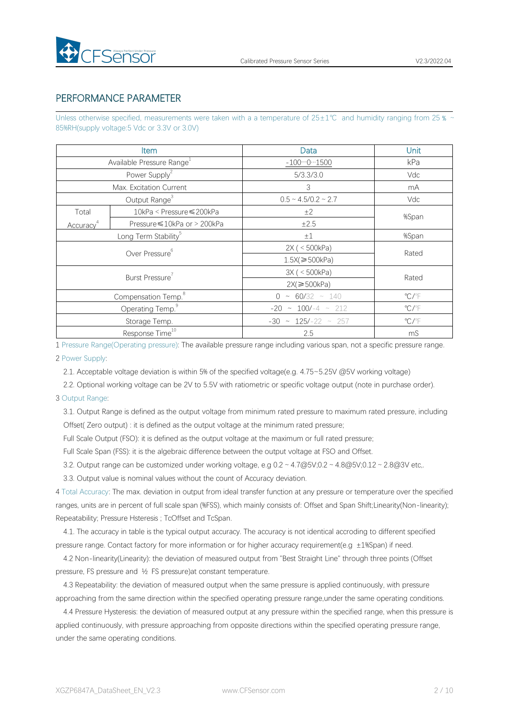

## PERFORMANCE PARAMETER

Unless otherwise specified, measurements were taken with a a temperature of  $25±1°C$  and humidity ranging from 25  $\frac{1}{2}$ 85%RH(supply voltage:5 Vdc or 3.3V or 3.0V)

|                       | <b>Item</b>                           | Data                          | Unit                    |
|-----------------------|---------------------------------------|-------------------------------|-------------------------|
|                       | Available Pressure Range <sup>1</sup> | $-10001500$                   | kPa                     |
|                       | Power Supply <sup>2</sup>             | 5/3.3/3.0                     | Vdc                     |
|                       | Max. Excitation Current               | 3                             | mA                      |
|                       | Output Range <sup>3</sup>             | $0.5 \sim 4.5/0.2 \sim 2.7$   | Vdc                     |
| Total                 | 10kPa < Pressure ≤ 200kPa             | ±2                            | %Span                   |
| Accuracy <sup>4</sup> | Pressure ≤ 10kPa or > 200kPa          | ±2.5                          |                         |
|                       | Long Term Stability <sup>5</sup>      | ±1                            | %Span                   |
|                       | Over Pressure <sup>6</sup>            | 2X ( < 500kPa)                | Rated                   |
|                       |                                       | $1.5X$ $\geq 500kPa$          |                         |
|                       | Burst Pressure <sup>7</sup>           | 3X ( < 500kPa)                | Rated                   |
|                       |                                       | $2X \geqslant 500 \text{kPa}$ |                         |
|                       | Compensation Temp. <sup>8</sup>       | $0 \sim 60/32 \sim 140$       | $\mathrm{C}/\mathrm{F}$ |
|                       | Operating Temp. <sup>9</sup>          | $-20 \sim 100/-4 \sim 212$    | $\mathrm{C}/\mathrm{F}$ |
|                       | Storage Temp.                         | $-30 \sim 125/-22 \sim 257$   | $\mathrm{C}/\mathrm{F}$ |
|                       | Response Time <sup>10</sup>           | 2.5                           | mS                      |

1 Pressure Range(Operating pressure): The available pressure range including variousspan, not a specific pressure range.

2 Power Supply:

2.1. Acceptable voltage deviation is within 5% of the specified voltage(e.g. 4.75~5.25V @5V working voltage)

2.2. Optional working voltage can be 2V to 5.5V with ratiometric or specific voltage output (note in purchase order).

#### 3 Output Range:

3.1. Output Range is defined as the output voltage from minimum rated pressure to maximum rated pressure, including Offset( Zero output) : it is defined as the output voltage at the minimum rated pressure;

Full Scale Output (FSO): it is defined as the output voltage at the maximum or full rated pressure;

Full Scale Span (FSS): it is the algebraic difference between the output voltage at FSO and Offset.

3.2. Output range can be customized under working voltage, e.g  $0.2 \sim 4.7 \omega$  5V;0.2 ~  $4.8 \omega$  5V;0.12 ~ 2.8 $\omega$ 3V etc,.

3.3. Output value is nominal values without the count of Accuracy deviation.

4 Total Accuracy: The max. deviation in output from ideal transfer function at any pressure or temperature over the specified ranges, units are in percent of full scale span (%FSS), which mainly consists of: Offset and Span Shift;Linearity(Non-linearity); Repeatability; Pressure Hsteresis ; TcOffset and TcSpan.

4.1. The accuracy in table is the typical output accuracy. The accuracy is notidentical accroding to different specified pressure range. Contact factory for more information or for higher accuracy requirement(e.g ±1%Span) if need.

4.2 Non-linearity(Linearity): the deviation of measured output from "Best Straight Line" through three points (Offset pressure, FS pressure and ½ FS pressure)at constant temperature.

4.3 Repeatability: the deviation of measured output when the same pressure is applied continuously, with pressure approaching from the same direction within the specified operating pressure range,under the same operating conditions.

4.4 Pressure Hysteresis: the deviation of measured output at any pressure within the specified range, when this pressure is applied continuously, with pressure approaching from opposite directions within the specified operating pressure range, under the same operating conditions.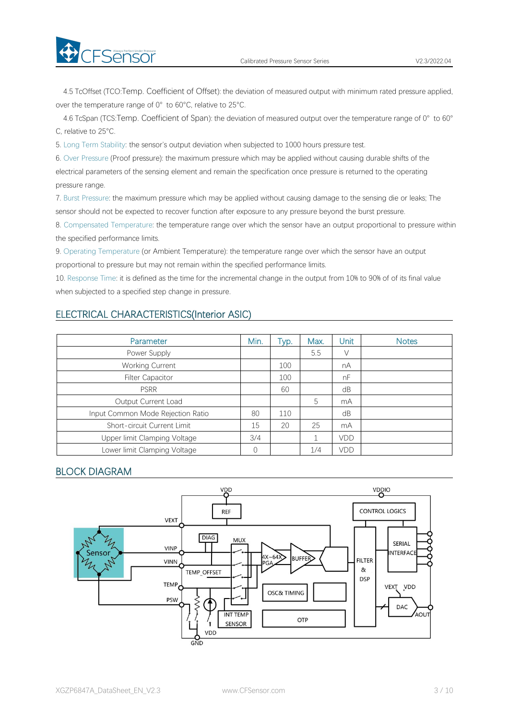

4.5 TcOffset (TCO:Temp. Coefficient of Offset): the deviation of measured output with minimum rated pressure applied, over the temperature range of 0° to 60°C, relative to 25°C.

4.6 TcSpan (TCS:Temp. Coefficient of Span): the deviation of measured output over the temperature range of 0° to 60° C, relative to 25°C.

5. Long Term Stability: the sensor's output deviation when subjected to 1000 hours pressure test.

6. Over Pressure (Proof pressure): the maximum pressure which may be applied without causing durable shifts of the electrical parameters of the sensing element and remain the specification once pressure is returned to the operating pressure range.

7. Burst Pressure: the maximum pressure which may be applied without causing damage to the sensing die or leaks; The sensor should not be expected to recover function after exposure to any pressure beyond the burst pressure.

8. Compensated Temperature: the temperature range over which the sensor have an output proportional to pressure within the specified performance limits.

9. Operating Temperature (or Ambient Temperature): the temperature range over which the sensor have an output proportional to pressure but may not remain within the specified performance limits.

10. Response Time: it is defined as the time for the incremental change in the output from 10% to 90% of of its final value when subjected to a specified step change in pressure.

## ELECTRICAL CHARACTERISTICS(Interior ASIC)

| Parameter                         | Min. | Typ. | Max. | Unit | <b>Notes</b> |
|-----------------------------------|------|------|------|------|--------------|
| Power Supply                      |      |      | 5.5  | V    |              |
| <b>Working Current</b>            |      | 100  |      | nA   |              |
| <b>Filter Capacitor</b>           |      | 100  |      | nF   |              |
| <b>PSRR</b>                       |      | 60   |      | dB   |              |
| Output Current Load               |      |      | 5    | mA   |              |
| Input Common Mode Rejection Ratio | 80   | 110  |      | dB   |              |
| Short-circuit Current Limit       | 15   | 20   | 25   | mA   |              |
| Upper limit Clamping Voltage      | 3/4  |      |      | VDD  |              |
| Lower limit Clamping Voltage      | 0    |      | 1/4  | VDD  |              |

## BLOCK DIAGRAM

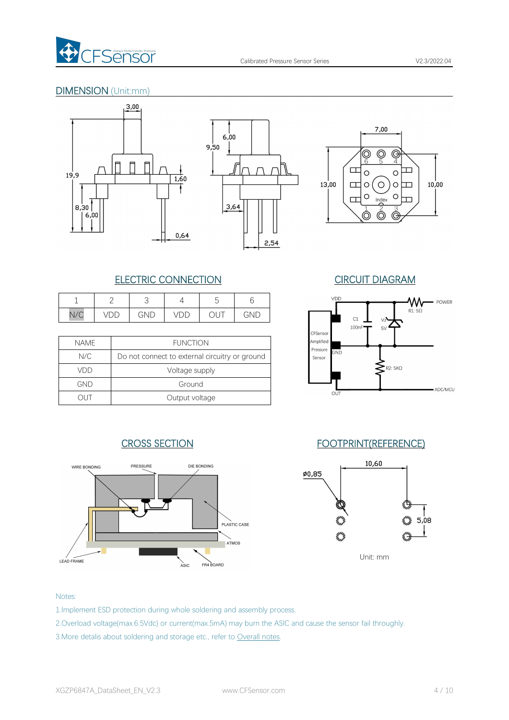

## DIMENSION (Unit:mm)







## ELECTRIC CONNECTION CIRCUIT DIAGRAM

|                 | <u>_</u>                 |     |                  | ◡                             |                      |
|-----------------|--------------------------|-----|------------------|-------------------------------|----------------------|
| N1/<br>$V \cup$ | $\overline{ }$<br>◡<br>◡ | GND | $\sqrt{2}$<br>レレ | $\mathbf{r}$<br>$\smile$<br>◡ | $\sim$ $\sim$<br>GND |

| <b>NAME</b> | <b>FUNCTION</b>                                |
|-------------|------------------------------------------------|
| N/C         | Do not connect to external circuitry or ground |
| VDD         | Voltage supply                                 |
| GND         | Ground                                         |
|             | Output voltage                                 |





## CROSS SECTION FOOTPRINT(REFERENCE)



Unit: mm

### Notes:

- 1.Implement ESD protection during whole soldering and assembly process.
- 2.Overload voltage(max.6.5Vdc) or current(max.5mA) may burn the ASIC and cause the sensor fail throughly.
- 3. More detalis about soldering and storage etc., refer to [Overall](#page-7-0) notes.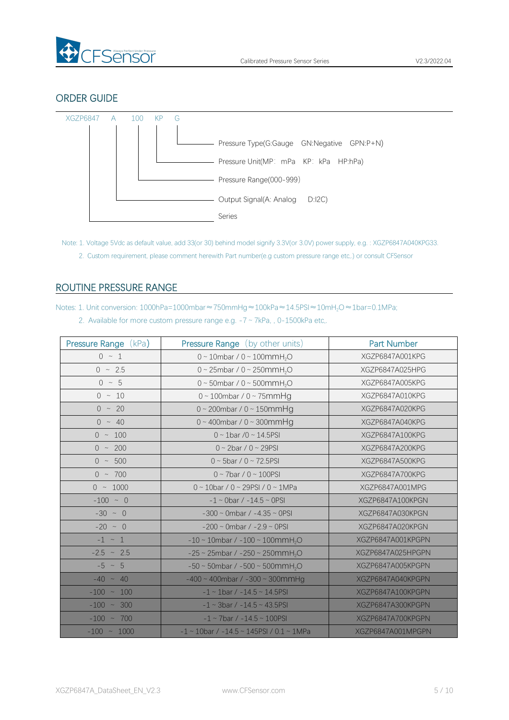

## ORDER GUIDE



Note: 1. Voltage 5Vdc as default value, add 33(or 30) behind model signify 3.3V(or 3.0V) power supply, e.g. : XGZP6847A040KPG33. 2. Custom requirement, please comment herewith Part number(e.g custom pressure range etc,.) or consult CFSensor

## <span id="page-4-0"></span>ROUTINE PRESSURE RANGE

Notes: 1. Unit conversion: 1000hPa=1000mbar≈750mmHg≈100kPa≈14.5PSI≈10mH<sub>2</sub>O≈1bar=0.1MPa;

|  | 2. Available for more custom pressure range e.g. $-7 \sim 7kPa$ , 0-1500kPa etc. |  |  |  |  |
|--|----------------------------------------------------------------------------------|--|--|--|--|
|--|----------------------------------------------------------------------------------|--|--|--|--|

| Pressure Range (kPa) | <b>Pressure Range</b> (by other units)                     | Part Number       |
|----------------------|------------------------------------------------------------|-------------------|
| $0 \sim 1$           | $0 \sim 10$ mbar / $0 \sim 100$ mmH <sub>2</sub> O         | XGZP6847A001KPG   |
| $0 \sim 2.5$         | 0 ~ 25mbar / 0 ~ 250mmH <sub>2</sub> O                     | XGZP6847A025HPG   |
| $0 \sim 5$           | 0 ~ 50mbar / 0 ~ 500mmH <sub>2</sub> O                     | XGZP6847A005KPG   |
| $0 \sim 10$          | $0 \sim 100$ mbar / $0 \sim 75$ mmHg                       | XGZP6847A010KPG   |
| $0 \sim 20$          | $0 \sim 200$ mbar / $0 \sim 150$ mmHg                      | XGZP6847A020KPG   |
| $0 \sim 40$          | $0 \sim 400$ mbar / $0 \sim 300$ mmHg                      | XGZP6847A040KPG   |
| $0 \sim 100$         | $0 \sim 1$ bar /0 ~ 14.5PSI                                | XGZP6847A100KPG   |
| $0 \sim 200$         | $0 \sim 2$ bar / $0 \sim 29$ PSI                           | XGZP6847A200KPG   |
| $0 \sim 500$         | $0 \sim 5$ bar / $0 \sim 72.5$ PSI                         | XGZP6847A500KPG   |
| $0 \sim 700$         | $0 \sim 7$ bar / $0 \sim 100$ PSI                          | XGZP6847A700KPG   |
| $0 \sim 1000$        | $0 \sim 10$ bar / 0 ~ 29PSI / 0 ~ 1MPa                     | XGZP6847A001MPG   |
| $-100 \sim 0$        | $-1 \sim$ 0bar / $-14.5 \sim$ 0PSI                         | XGZP6847A100KPGN  |
| $-30 \sim 0$         | $-300 \sim$ 0mbar / $-4.35 \sim$ 0PSI                      | XGZP6847A030KPGN  |
| $-20$ ~ 0            | $-200 \sim$ 0mbar / $-2.9 \sim$ 0PSI                       | XGZP6847A020KPGN  |
| $-1 \sim 1$          | $-10 \sim 10$ mbar / $-100 \sim 100$ mmH <sub>2</sub> O    | XGZP6847A001KPGPN |
| $-2.5$ ~ 2.5         | $-25 \sim 25$ mbar / $-250 \sim 250$ mmH <sub>2</sub> O    | XGZP6847A025HPGPN |
| $-5 \sim 5$          | $-50 \sim 50$ mbar / $-500 \sim 500$ mmH <sub>2</sub> O    | XGZP6847A005KPGPN |
| $-40 \sim 40$        | $-400 \sim 400$ mbar / $-300 \sim 300$ mmHg                | XGZP6847A040KPGPN |
| $-100 - 100$         | $-1 \sim 1$ bar / $-14.5 \sim 14.5$ PSI                    | XGZP6847A100KPGPN |
| $-100 \sim 300$      | $-1 \sim 3$ bar / $-14.5 \sim 43.5$ PSI                    | XGZP6847A300KPGPN |
| $-100 \sim 700$      | $-1 \sim 7$ bar / $-14.5 \sim 100$ PSI                     | XGZP6847A700KPGPN |
| $-100 \sim 1000$     | $-1 \sim 10$ bar / $-14.5 \sim 145$ PSI / 0.1 $\sim 1$ MPa | XGZP6847A001MPGPN |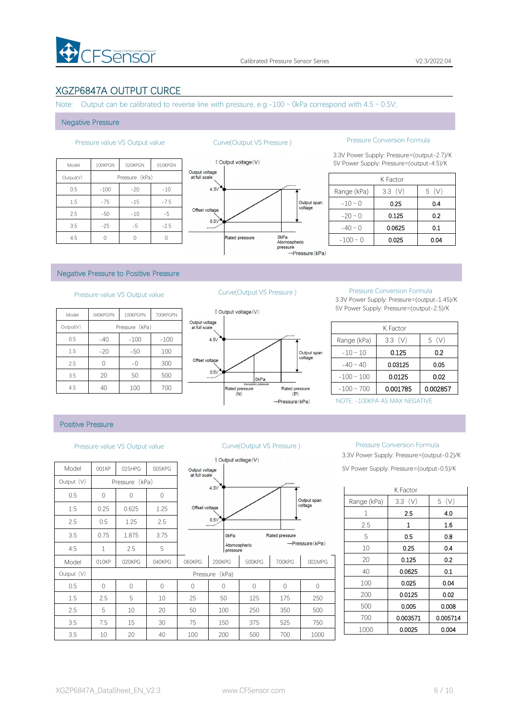

## XGZP6847A OUTPUT CURCE

Note: Output can be calibrated to reverse line with pressure, e.g.-100  $\sim$  0kPa correspond with 4.5  $\sim$  0.5V;

#### Negative Pressure

| <b>Ou</b>                       | 010KPGN | 020KPGN        | 100KPGN | Model     |
|---------------------------------|---------|----------------|---------|-----------|
| Output voltage<br>at full scale |         | Pressure (kPa) |         | Output(V) |
| 4.5V                            | $-10$   | $-20$          | $-100$  | 0.5       |
|                                 | $-7.5$  | $-15$          | $-75$   | 1.5       |
| Offset voltage                  | $-5$    | $-10$          | $-50$   | 2.5       |
| 0.5V<br>$\cdots$                | $-2.5$  | $-5$           | $-25$   | 3.5       |
|                                 |         |                |         | 4.5       |



## Pressure value VS Output value Curve(Output VS Pressure ) Pressure Conversion Formula

3.3V Power Supply: Pressure=(output-2.7)/K 100the 100the 100KPGN 010KPGN 010KPGN 010KPGN 010KPGN 010KPGN 010KPGN 010KPGN 010KPGN 010KPGN 010KPGN 010KPGN 0

|               | K Factor |      |
|---------------|----------|------|
| Range (kPa)   | 3.3(V)   | 5(V) |
| $-10 \sim 0$  | 0.25     | 0.4  |
| $-20 \sim 0$  | 0.125    | 0.2  |
| $-40 \sim 0$  | 0.0625   | 0.1  |
| $-100 \sim 0$ | 0.025    | 0.04 |

### Negative Pressure to Positive Pressure

## Pressure value VS Output value Curve(Output VS Pressure ) Pressure Conversion Formula

| 1 Output vo     |                                 | 700KPGPN | 100KPGPN       | 040KPGPN | Model     |
|-----------------|---------------------------------|----------|----------------|----------|-----------|
|                 | Output voltage<br>at full scale |          | Pressure (kPa) |          | Output(V) |
|                 | 4.5V                            | $-100$   | $-100$         | $-40$    | 0.5       |
|                 |                                 | 100      | $-50$          | $-20$    | 1.5       |
|                 | Offset voltage                  | 300      | $-0$           |          | 2.5       |
|                 | 0.5V                            | 500      | 50             | 20       | 3.5       |
| Rated pr<br>(N) |                                 | 700      | 100            | 40       | 4.5       |



3.3V Power Supply: Pressure=(output-1.45)/K 5V Power Supply: Pressure=(output-2.5)/K

|                 | K Factor |          |
|-----------------|----------|----------|
| Range (kPa)     | 3.3(V)   | 5(V)     |
| $-10 \sim 10$   | 0.125    | 0.2      |
| $-40 \sim 40$   | 0.03125  | 0.05     |
| $-100 \sim 100$ | 0.0125   | 0.02     |
| $-100 \sim 700$ | 0.001785 | 0.002857 |

NOTE: -100KPA AS MAX NEGATIVE

#### Positive Pressure

|            |            |                |                |                                 |                  | Output voltage $(V)$ |                |                             |                      |   |
|------------|------------|----------------|----------------|---------------------------------|------------------|----------------------|----------------|-----------------------------|----------------------|---|
| Model      | 001KP      | 025HPG         | 005KPG         | Output voltage<br>at full scale |                  |                      |                |                             | 5V Power Supply: Pre |   |
| Output (V) |            | Pressure (kPa) |                |                                 | 4.5V             |                      | $\cdot$        |                             |                      |   |
| 0.5        | $\Omega$   | 0              | $\overline{0}$ |                                 |                  |                      |                |                             |                      | K |
| 1.5        | 0.25       | 0.625          | 1.25           | Offset voltage                  |                  |                      |                | Output span<br>voltage      | Range (kPa)          |   |
|            |            |                |                |                                 |                  |                      |                |                             | 1                    |   |
| 2.5        | 0.5        | 1.25           | 2.5            |                                 | 0.5V             |                      |                |                             | 2.5                  |   |
| 3.5        | 0.75       | 1.875          | 3.75           |                                 | 0 <sub>kPa</sub> |                      | Rated pressure |                             | 5                    |   |
| 4.5        | 1          | 2.5            | 5              |                                 | pressure         | Atomospheric         |                | $\rightarrow$ Pressure(kPa) | 10                   |   |
| Model      | 010KP      | 020KPG         | 040KPG         | 060KPG                          | 200KPG           | 500KPG               | 700KPG         | 001MPG                      | 20                   |   |
| Output (V) |            |                |                | Pressure                        | (kPa)            |                      |                |                             | 40                   |   |
| 0.5        | $\bigcirc$ | $\Omega$       | $\bigcap$      | $\mathbf{0}$                    | 0                | $\bigcirc$           | $\Omega$       | $\Omega$                    | 100                  |   |
| 1.5        | 2.5        | 5              | 10             | 25                              | 50               | 125                  | 175            | 250                         | 200                  |   |
| 2.5        | 5          | 10             | 20             | 50                              | 100              | 250                  | 350            | 500                         | 500                  |   |
| 3.5        | 7.5        | 15             | 30             | 75                              | 150              | 375                  | 525            | 750                         | 700                  |   |
|            |            |                |                |                                 |                  |                      |                |                             | 1000                 |   |
| 3.5        | 10         | 20             | 40             | 100                             | 200              | 500                  | 700            | 1000                        |                      |   |



### Pressure value VS Output value Curve(Output VS Pressure ) Pressure Conversion Formula

3.3V Power Supply: Pressure=(output-0.2)/K 5V Power Supply: Pressure=(output-0.5)/K

|             | K Factor  |          |
|-------------|-----------|----------|
| Range (kPa) | $3.3$ (V) | 5(V)     |
| 1           | 2.5       | 4.0      |
| 2.5         | 1         | 1.6      |
| 5           | 0.5       | 0.8      |
| 10          | 0.25      | 0.4      |
| 20          | 0.125     | 0.2      |
| 40          | 0.0625    | 0.1      |
| 100         | 0.025     | 0.04     |
| 200         | 0.0125    | 0.02     |
| 500         | 0.005     | 0.008    |
| 700         | 0.003571  | 0.005714 |
| 1000        | 0.0025    | 0.004    |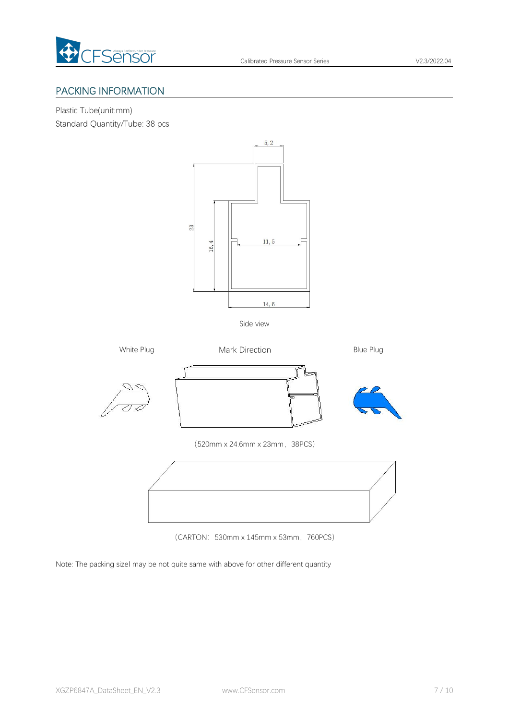

## PACKING INFORMATION

Plastic Tube(unit:mm)

Standard Quantity/Tube: 38 pcs



Side view



(CARTON: 530mm x 145mm x 53mm, 760PCS)

Note: The packing sizel may be not quite same with above for other different quantity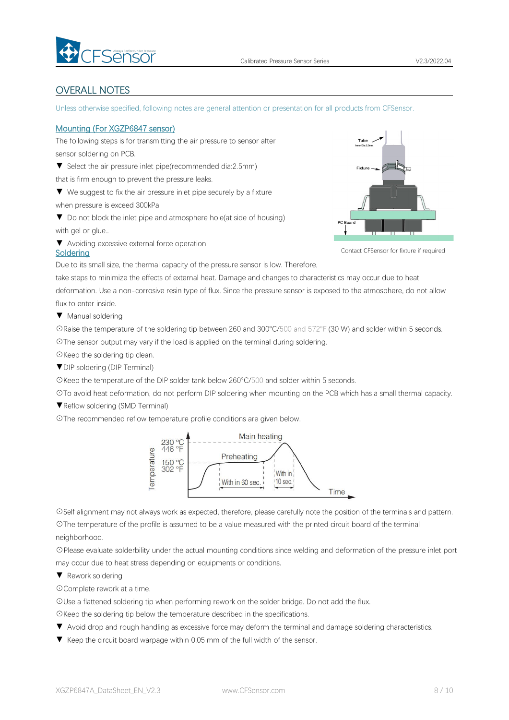

## <span id="page-7-0"></span>OVERALL NOTES

Unless otherwise specified, following notes are general attention or presentation for all products from CFSensor.

### Mounting (For XGZP6847 sensor)

The following steps is for transmitting the air pressure to sensor after sensor soldering on PCB.

▼ Select the air pressure inlet pipe(recommended dia:2.5mm)

that is firm enough to prevent the pressure leaks.

▼ We suggest to fix the air pressure inlet pipe securely by a fixture when pressure is exceed 300kPa.

▼ Do not block the inlet pipe and atmosphere hole(at side of housing) with gel or glue..

▼ Avoiding excessive external force operation



Contact CFSensor for fixture if required

Due to its small size, the thermal capacity of the pressure sensor is low. Therefore,

take steps to minimize the effects of external heat. Damage and changes to characteristics may occur due to heat deformation. Use a non-corrosive resin type of flux. Since the pressure sensor is exposed to the atmosphere, do not allow flux to enter inside.

▼ Manual soldering

Soldering

☉Raise the temperature of the soldering tip between 260 and 300°C/500 and 572°F (30 W) and solder within 5 seconds. ☉The sensor output may vary if the load is applied on the terminal during soldering.

☉Keep the soldering tip clean.

▼DIP soldering (DIP Terminal)

☉Keep the temperature of the DIP solder tank below 260°C/500 and solder within 5 seconds.

☉To avoid heat deformation, do not perform DIP soldering when mounting on the PCB which has a small thermal capacity.

▼Reflow soldering (SMD Terminal)

☉The recommended reflow temperature profile conditions are given below.



☉Self alignment may not always work as expected, therefore, please carefully note the position of the terminals and pattern.

☉The temperature of the profile is assumed to be a value measured with the printed circuit board of the terminal neighborhood.

☉Please evaluate solderbility under the actual mounting conditions since welding and deformation of the pressure inlet port may occur due to heat stress depending on equipments or conditions.

▼ Rework soldering

☉Complete rework at a time.

☉Use a flattened soldering tip when performing rework on the solder bridge. Do not add the flux.

☉Keep the soldering tip below the temperature described in the specifications.

- ▼ Avoid drop and rough handling as excessive force may deform the terminal and damage soldering characteristics.
- ▼ Keep the circuit board warpage within 0.05 mm of the full width of the sensor.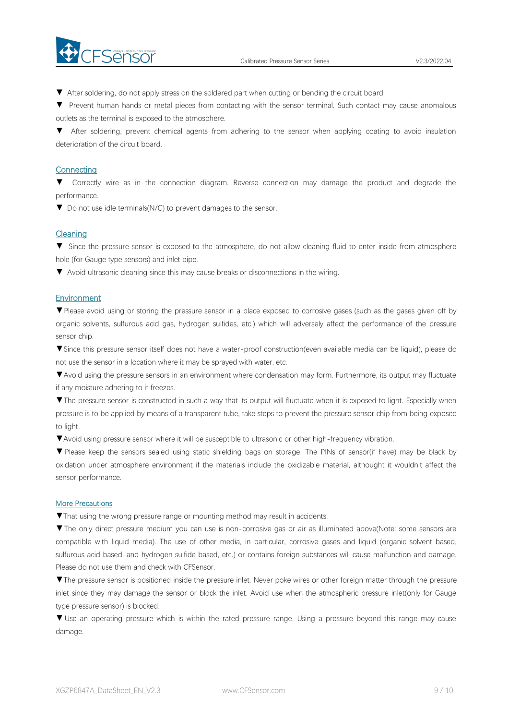

▼ After soldering, do not apply stress on the soldered part when cutting or bending the circuit board.

▼ Prevent human hands or metal pieces from contacting with the sensor terminal. Such contact may cause anomalous outlets as the terminal is exposed to the atmosphere.

▼ After soldering, prevent chemical agents from adhering to the sensor when applying coating to avoid insulation deterioration of the circuit board.

### **Connecting**

▼ Correctly wire as in the connection diagram. Reverse connection may damage the product and degrade the performance.

▼ Do not use idle terminals(N/C) to prevent damages to the sensor.

### **Cleaning**

▼ Since the pressure sensor is exposed to the atmosphere, do not allow cleaning fluid to enter inside from atmosphere hole (for Gauge type sensors) and inlet pipe.

▼ Avoid ultrasonic cleaning since this may cause breaks or disconnections in the wiring.

### **Environment**

▼Please avoid using or storing the pressure sensor in a place exposed to corrosive gases (such as the gases given off by organic solvents, sulfurous acid gas, hydrogen sulfides, etc.) which will adversely affect the performance of the pressure sensor chip.

▼Since this pressure sensor itself does not have a water-proof construction(even available media can be liquid), please do not use the sensor in alocation where it may be sprayed with water, etc.

▼Avoid using the pressure sensors in an environment where condensation may form. Furthermore, its output may fluctuate if any moisture adhering to it freezes.

▼The pressure sensor is constructed in such a way that its output will fluctuate when it is exposed to light. Especially when pressure is to be applied by means of a transparent tube, take steps to prevent the pressure sensor chip from being exposed to light.

▼Avoid using pressure sensor where it will be susceptible to ultrasonic or other high-frequency vibration.

▼ Please keep the sensors sealed using static shielding bags on storage. The PINs of sensor(if have) may be black by oxidation under atmosphere environment if the materials include the oxidizable material, althought it wouldn't affect the sensor performance.

#### More Precautions

▼That using the wrong pressure range or mounting method mayresult in accidents.

▼The only direct pressure medium you can use is non-corrosive gas or air as illuminated above(Note: some sensors are compatible with liquid media). The use of other media, in particular, corrosive gases and liquid (organic solvent based, sulfurous acid based, and hydrogen sulfide based, etc.) or contains foreign substances will cause malfunction and damage.<br>Please do not use them and check with CFSensor.

▼The pressure sensor is positioned inside the pressure inlet. Never poke wires orother foreign matter through the pressure inlet since they may damage the sensor or block the inlet. Avoid use when the atmospheric pressure inlet(only for Gauge type pressure sensor) is blocked.

▼ Use an operating pressure which is within the rated pressure range. Using a pressure beyond this range may cause damage.